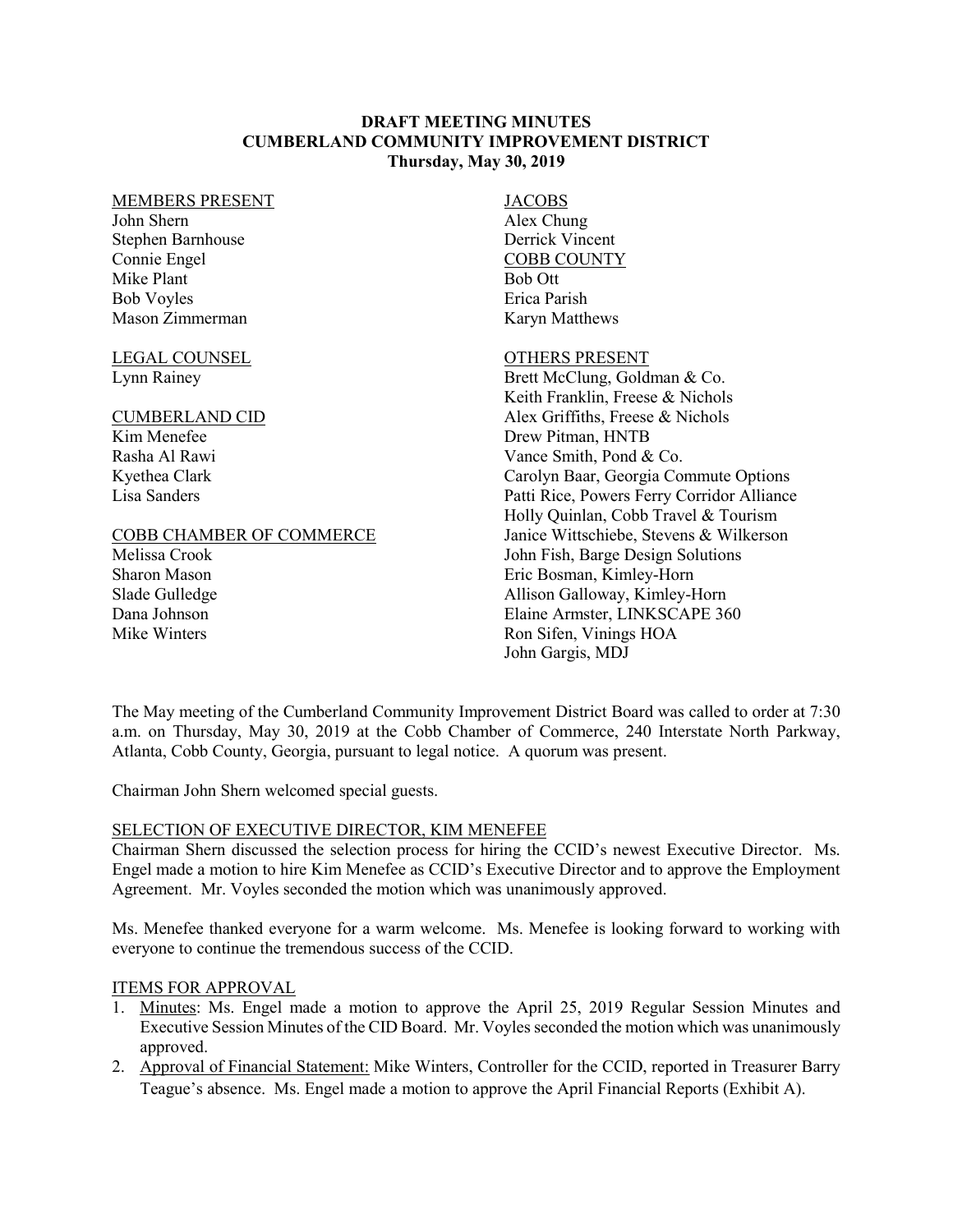## **DRAFT MEETING MINUTES CUMBERLAND COMMUNITY IMPROVEMENT DISTRICT Thursday, May 30, 2019**

#### MEMBERS PRESENT

John Shern Stephen Barnhouse Connie Engel Mike Plant Bob Voyles Mason Zimmerman

LEGAL COUNSEL Lynn Rainey

#### CUMBERLAND CID

Kim Menefee Rasha Al Rawi Kyethea Clark Lisa Sanders

### COBB CHAMBER OF COMMERCE

Melissa Crook Sharon Mason Slade Gulledge Dana Johnson Mike Winters

# JACOBS

Alex Chung Derrick Vincent COBB COUNTY Bob Ott Erica Parish Karyn Matthews

### OTHERS PRESENT

Brett McClung, Goldman & Co. Keith Franklin, Freese & Nichols Alex Griffiths, Freese & Nichols Drew Pitman, HNTB Vance Smith, Pond & Co. Carolyn Baar, Georgia Commute Options Patti Rice, Powers Ferry Corridor Alliance Holly Quinlan, Cobb Travel & Tourism Janice Wittschiebe, Stevens & Wilkerson John Fish, Barge Design Solutions Eric Bosman, Kimley-Horn Allison Galloway, Kimley-Horn Elaine Armster, LINKSCAPE 360 Ron Sifen, Vinings HOA John Gargis, MDJ

The May meeting of the Cumberland Community Improvement District Board was called to order at 7:30 a.m. on Thursday, May 30, 2019 at the Cobb Chamber of Commerce, 240 Interstate North Parkway, Atlanta, Cobb County, Georgia, pursuant to legal notice. A quorum was present.

Chairman John Shern welcomed special guests.

# SELECTION OF EXECUTIVE DIRECTOR, KIM MENEFEE

Chairman Shern discussed the selection process for hiring the CCID's newest Executive Director. Ms. Engel made a motion to hire Kim Menefee as CCID's Executive Director and to approve the Employment Agreement. Mr. Voyles seconded the motion which was unanimously approved.

Ms. Menefee thanked everyone for a warm welcome. Ms. Menefee is looking forward to working with everyone to continue the tremendous success of the CCID.

# ITEMS FOR APPROVAL

- 1. Minutes: Ms. Engel made a motion to approve the April 25, 2019 Regular Session Minutes and Executive Session Minutes of the CID Board. Mr. Voyles seconded the motion which was unanimously approved.
- 2. Approval of Financial Statement: Mike Winters, Controller for the CCID, reported in Treasurer Barry Teague's absence. Ms. Engel made a motion to approve the April Financial Reports (Exhibit A).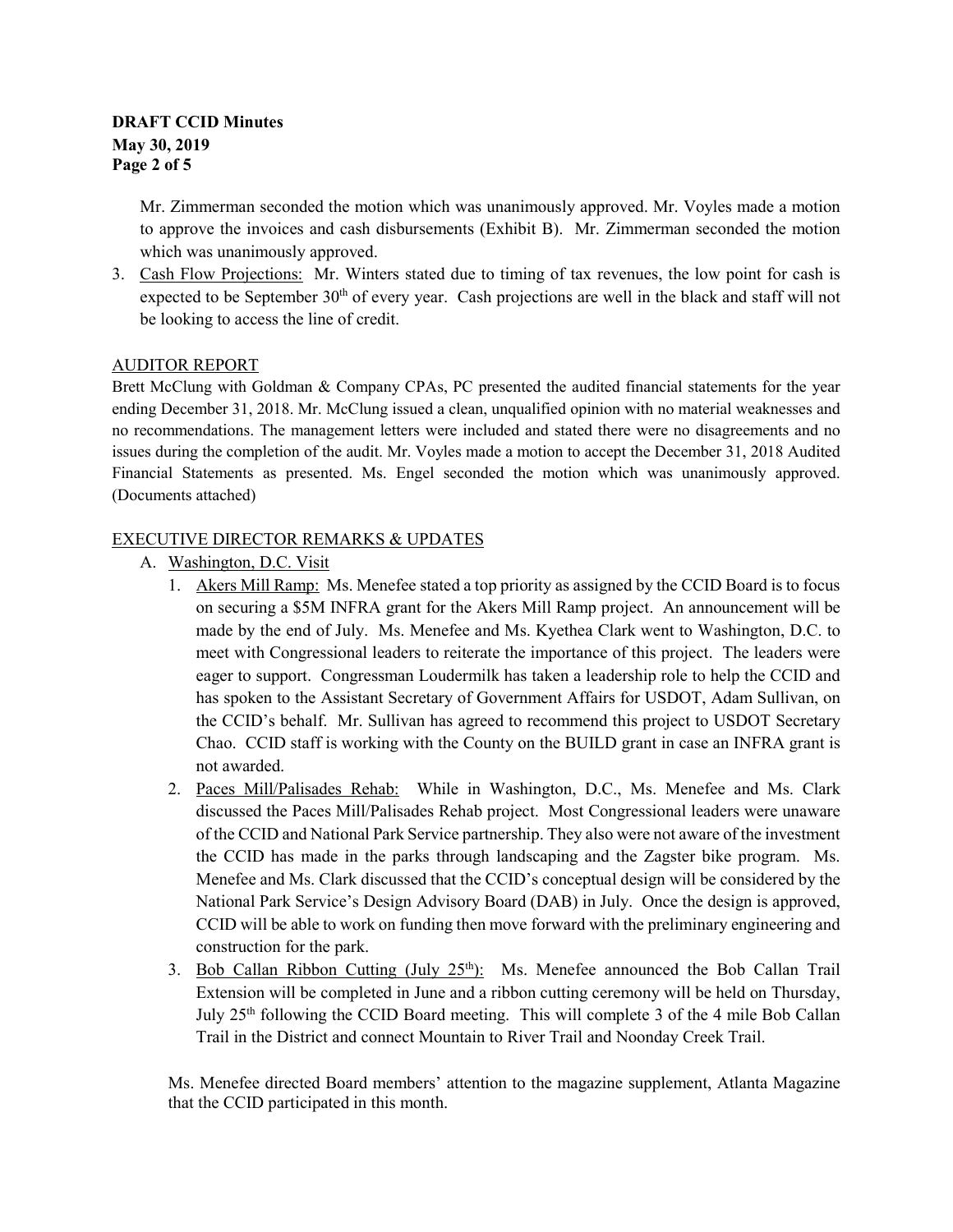# **DRAFT CCID Minutes May 30, 2019 Page 2 of 5**

Mr. Zimmerman seconded the motion which was unanimously approved. Mr. Voyles made a motion to approve the invoices and cash disbursements (Exhibit B). Mr. Zimmerman seconded the motion which was unanimously approved.

3. Cash Flow Projections: Mr. Winters stated due to timing of tax revenues, the low point for cash is expected to be September 30<sup>th</sup> of every year. Cash projections are well in the black and staff will not be looking to access the line of credit.

# AUDITOR REPORT

Brett McClung with Goldman & Company CPAs, PC presented the audited financial statements for the year ending December 31, 2018. Mr. McClung issued a clean, unqualified opinion with no material weaknesses and no recommendations. The management letters were included and stated there were no disagreements and no issues during the completion of the audit. Mr. Voyles made a motion to accept the December 31, 2018 Audited Financial Statements as presented. Ms. Engel seconded the motion which was unanimously approved. (Documents attached)

# EXECUTIVE DIRECTOR REMARKS & UPDATES

- A. Washington, D.C. Visit
	- 1. Akers Mill Ramp: Ms. Menefee stated a top priority as assigned by the CCID Board is to focus on securing a \$5M INFRA grant for the Akers Mill Ramp project. An announcement will be made by the end of July. Ms. Menefee and Ms. Kyethea Clark went to Washington, D.C. to meet with Congressional leaders to reiterate the importance of this project. The leaders were eager to support. Congressman Loudermilk has taken a leadership role to help the CCID and has spoken to the Assistant Secretary of Government Affairs for USDOT, Adam Sullivan, on the CCID's behalf. Mr. Sullivan has agreed to recommend this project to USDOT Secretary Chao. CCID staff is working with the County on the BUILD grant in case an INFRA grant is not awarded.
	- 2. Paces Mill/Palisades Rehab: While in Washington, D.C., Ms. Menefee and Ms. Clark discussed the Paces Mill/Palisades Rehab project. Most Congressional leaders were unaware of the CCID and National Park Service partnership. They also were not aware of the investment the CCID has made in the parks through landscaping and the Zagster bike program. Ms. Menefee and Ms. Clark discussed that the CCID's conceptual design will be considered by the National Park Service's Design Advisory Board (DAB) in July. Once the design is approved, CCID will be able to work on funding then move forward with the preliminary engineering and construction for the park.
	- 3. Bob Callan Ribbon Cutting  $(\text{July } 25^{\text{th}})$ : Ms. Menefee announced the Bob Callan Trail Extension will be completed in June and a ribbon cutting ceremony will be held on Thursday, July 25<sup>th</sup> following the CCID Board meeting. This will complete 3 of the 4 mile Bob Callan Trail in the District and connect Mountain to River Trail and Noonday Creek Trail.

Ms. Menefee directed Board members' attention to the magazine supplement, Atlanta Magazine that the CCID participated in this month.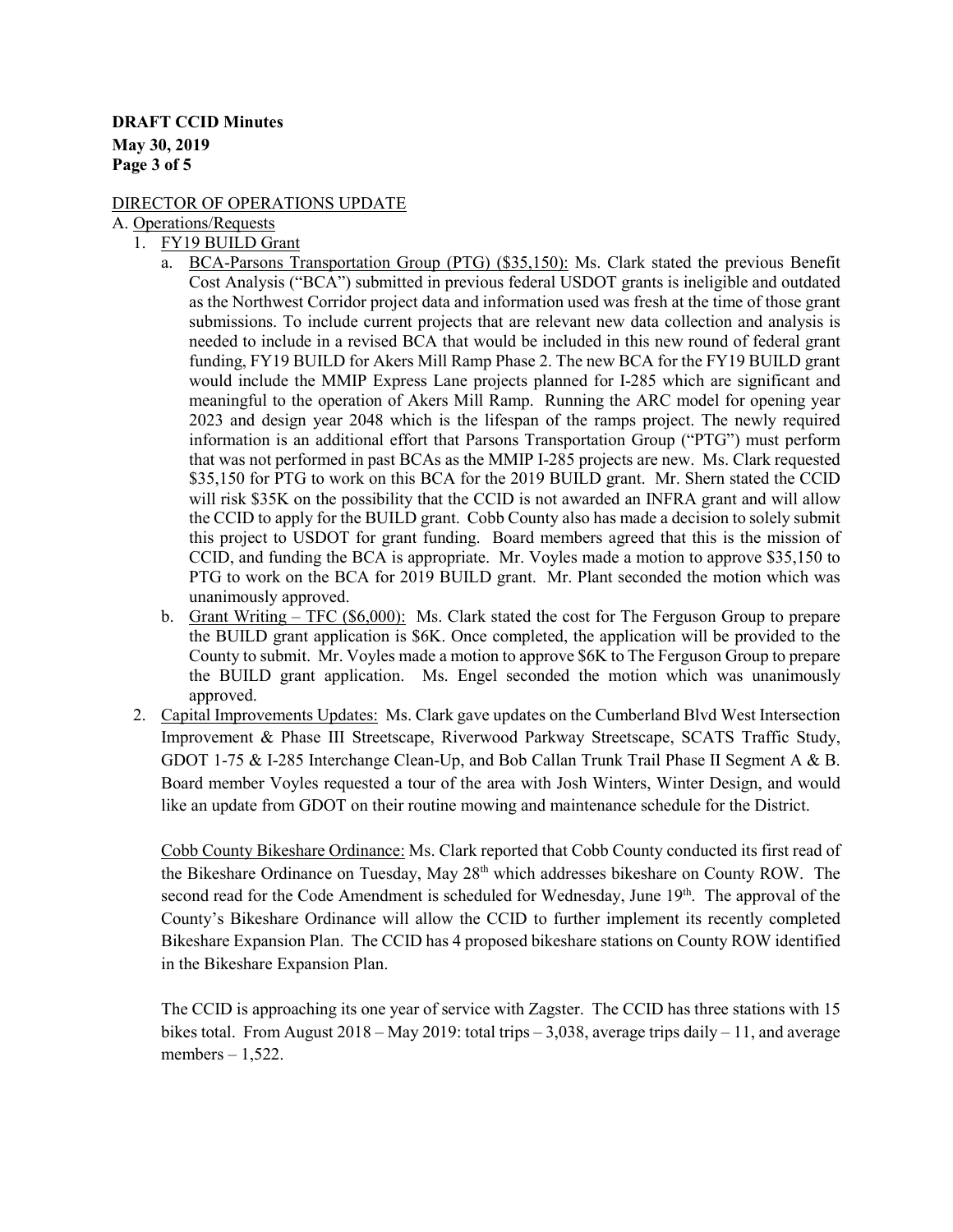# **DRAFT CCID Minutes May 30, 2019 Page 3 of 5**

# DIRECTOR OF OPERATIONS UPDATE

A. Operations/Requests

- 1. FY19 BUILD Grant
	- a. BCA-Parsons Transportation Group (PTG) (\$35,150): Ms. Clark stated the previous Benefit Cost Analysis ("BCA") submitted in previous federal USDOT grants is ineligible and outdated as the Northwest Corridor project data and information used was fresh at the time of those grant submissions. To include current projects that are relevant new data collection and analysis is needed to include in a revised BCA that would be included in this new round of federal grant funding, FY19 BUILD for Akers Mill Ramp Phase 2. The new BCA for the FY19 BUILD grant would include the MMIP Express Lane projects planned for I-285 which are significant and meaningful to the operation of Akers Mill Ramp. Running the ARC model for opening year 2023 and design year 2048 which is the lifespan of the ramps project. The newly required information is an additional effort that Parsons Transportation Group ("PTG") must perform that was not performed in past BCAs as the MMIP I-285 projects are new. Ms. Clark requested \$35,150 for PTG to work on this BCA for the 2019 BUILD grant. Mr. Shern stated the CCID will risk \$35K on the possibility that the CCID is not awarded an INFRA grant and will allow the CCID to apply for the BUILD grant. Cobb County also has made a decision to solely submit this project to USDOT for grant funding. Board members agreed that this is the mission of CCID, and funding the BCA is appropriate. Mr. Voyles made a motion to approve \$35,150 to PTG to work on the BCA for 2019 BUILD grant. Mr. Plant seconded the motion which was unanimously approved.
	- b. Grant Writing TFC (\$6,000): Ms. Clark stated the cost for The Ferguson Group to prepare the BUILD grant application is \$6K. Once completed, the application will be provided to the County to submit. Mr. Voyles made a motion to approve \$6K to The Ferguson Group to prepare the BUILD grant application. Ms. Engel seconded the motion which was unanimously approved.
- 2. Capital Improvements Updates: Ms. Clark gave updates on the Cumberland Blvd West Intersection Improvement & Phase III Streetscape, Riverwood Parkway Streetscape, SCATS Traffic Study, GDOT 1-75 & I-285 Interchange Clean-Up, and Bob Callan Trunk Trail Phase II Segment A & B. Board member Voyles requested a tour of the area with Josh Winters, Winter Design, and would like an update from GDOT on their routine mowing and maintenance schedule for the District.

Cobb County Bikeshare Ordinance: Ms. Clark reported that Cobb County conducted its first read of the Bikeshare Ordinance on Tuesday, May 28<sup>th</sup> which addresses bikeshare on County ROW. The second read for the Code Amendment is scheduled for Wednesday, June 19<sup>th</sup>. The approval of the County's Bikeshare Ordinance will allow the CCID to further implement its recently completed Bikeshare Expansion Plan. The CCID has 4 proposed bikeshare stations on County ROW identified in the Bikeshare Expansion Plan.

The CCID is approaching its one year of service with Zagster. The CCID has three stations with 15 bikes total. From August  $2018 - \text{May } 2019$ : total trips  $-3.038$ , average trips daily  $-11$ , and average members  $-1,522$ .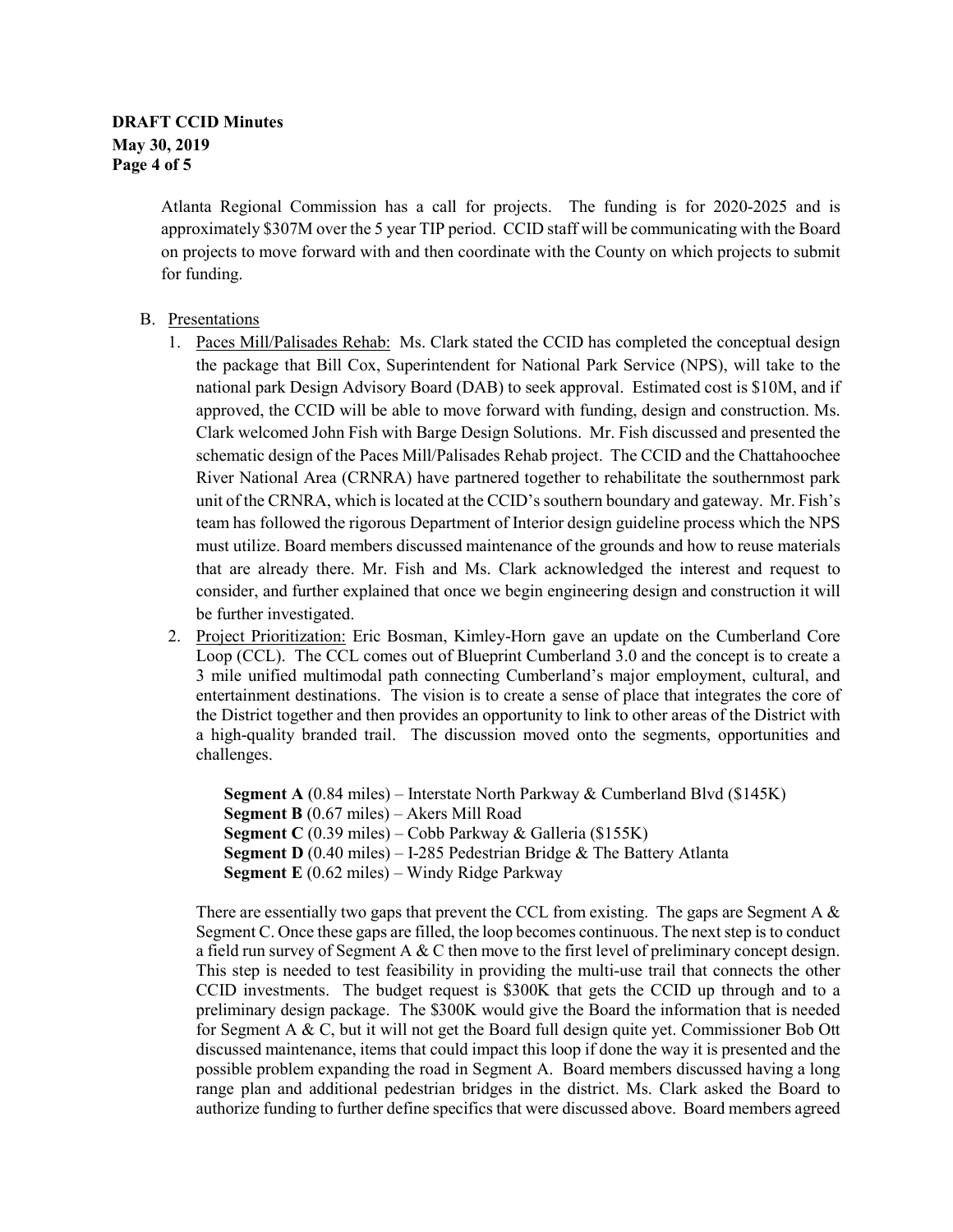# **DRAFT CCID Minutes May 30, 2019 Page 4 of 5**

Atlanta Regional Commission has a call for projects. The funding is for 2020-2025 and is approximately \$307M over the 5 year TIP period. CCID staff will be communicating with the Board on projects to move forward with and then coordinate with the County on which projects to submit for funding.

# B. Presentations

- 1. Paces Mill/Palisades Rehab: Ms. Clark stated the CCID has completed the conceptual design the package that Bill Cox, Superintendent for National Park Service (NPS), will take to the national park Design Advisory Board (DAB) to seek approval. Estimated cost is \$10M, and if approved, the CCID will be able to move forward with funding, design and construction. Ms. Clark welcomed John Fish with Barge Design Solutions. Mr. Fish discussed and presented the schematic design of the Paces Mill/Palisades Rehab project. The CCID and the Chattahoochee River National Area (CRNRA) have partnered together to rehabilitate the southernmost park unit of the CRNRA, which is located at the CCID's southern boundary and gateway. Mr. Fish's team has followed the rigorous Department of Interior design guideline process which the NPS must utilize. Board members discussed maintenance of the grounds and how to reuse materials that are already there. Mr. Fish and Ms. Clark acknowledged the interest and request to consider, and further explained that once we begin engineering design and construction it will be further investigated.
- 2. Project Prioritization: Eric Bosman, Kimley-Horn gave an update on the Cumberland Core Loop (CCL). The CCL comes out of Blueprint Cumberland 3.0 and the concept is to create a 3 mile unified multimodal path connecting Cumberland's major employment, cultural, and entertainment destinations. The vision is to create a sense of place that integrates the core of the District together and then provides an opportunity to link to other areas of the District with a high-quality branded trail. The discussion moved onto the segments, opportunities and challenges.

**Segment A** (0.84 miles) – Interstate North Parkway & Cumberland Blvd (\$145K) **Segment B** (0.67 miles) – Akers Mill Road **Segment C** (0.39 miles) – Cobb Parkway & Galleria (\$155K) **Segment D** (0.40 miles) – I-285 Pedestrian Bridge & The Battery Atlanta **Segment E** (0.62 miles) – Windy Ridge Parkway

There are essentially two gaps that prevent the CCL from existing. The gaps are Segment A  $\&$ Segment C. Once these gaps are filled, the loop becomes continuous. The next step is to conduct a field run survey of Segment A  $&$  C then move to the first level of preliminary concept design. This step is needed to test feasibility in providing the multi-use trail that connects the other CCID investments. The budget request is \$300K that gets the CCID up through and to a preliminary design package. The \$300K would give the Board the information that is needed for Segment A  $\&$  C, but it will not get the Board full design quite yet. Commissioner Bob Ott discussed maintenance, items that could impact this loop if done the way it is presented and the possible problem expanding the road in Segment A. Board members discussed having a long range plan and additional pedestrian bridges in the district. Ms. Clark asked the Board to authorize funding to further define specifics that were discussed above. Board members agreed